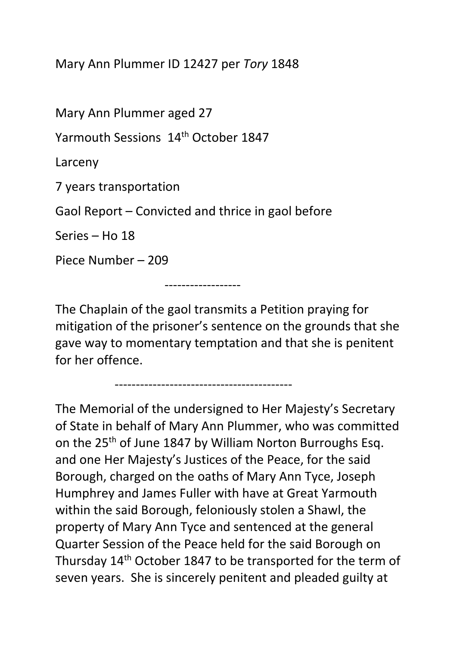Mary Ann Plummer ID 12427 per *Tory* 1848

Mary Ann Plummer aged 27

Yarmouth Sessions 14<sup>th</sup> October 1847

Larceny

7 years transportation

Gaol Report – Convicted and thrice in gaol before

Series – Ho 18

Piece Number – 209

------------------

The Chaplain of the gaol transmits a Petition praying for mitigation of the prisoner's sentence on the grounds that she gave way to momentary temptation and that she is penitent for her offence.

------------------------------------------

The Memorial of the undersigned to Her Majesty's Secretary of State in behalf of Mary Ann Plummer, who was committed on the 25<sup>th</sup> of June 1847 by William Norton Burroughs Esq. and one Her Majesty's Justices of the Peace, for the said Borough, charged on the oaths of Mary Ann Tyce, Joseph Humphrey and James Fuller with have at Great Yarmouth within the said Borough, feloniously stolen a Shawl, the property of Mary Ann Tyce and sentenced at the general Quarter Session of the Peace held for the said Borough on Thursday 14th October 1847 to be transported for the term of seven years. She is sincerely penitent and pleaded guilty at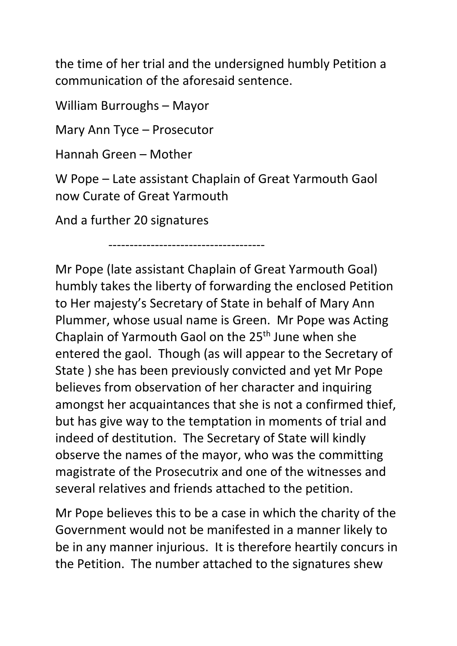the time of her trial and the undersigned humbly Petition a communication of the aforesaid sentence.

William Burroughs – Mayor

Mary Ann Tyce – Prosecutor

Hannah Green – Mother

W Pope – Late assistant Chaplain of Great Yarmouth Gaol now Curate of Great Yarmouth

-------------------------------------

And a further 20 signatures

Mr Pope (late assistant Chaplain of Great Yarmouth Goal) humbly takes the liberty of forwarding the enclosed Petition to Her majesty's Secretary of State in behalf of Mary Ann Plummer, whose usual name is Green. Mr Pope was Acting Chaplain of Yarmouth Gaol on the 25<sup>th</sup> June when she entered the gaol. Though (as will appear to the Secretary of State ) she has been previously convicted and yet Mr Pope believes from observation of her character and inquiring amongst her acquaintances that she is not a confirmed thief, but has give way to the temptation in moments of trial and indeed of destitution. The Secretary of State will kindly observe the names of the mayor, who was the committing magistrate of the Prosecutrix and one of the witnesses and several relatives and friends attached to the petition.

Mr Pope believes this to be a case in which the charity of the Government would not be manifested in a manner likely to be in any manner injurious. It is therefore heartily concurs in the Petition. The number attached to the signatures shew